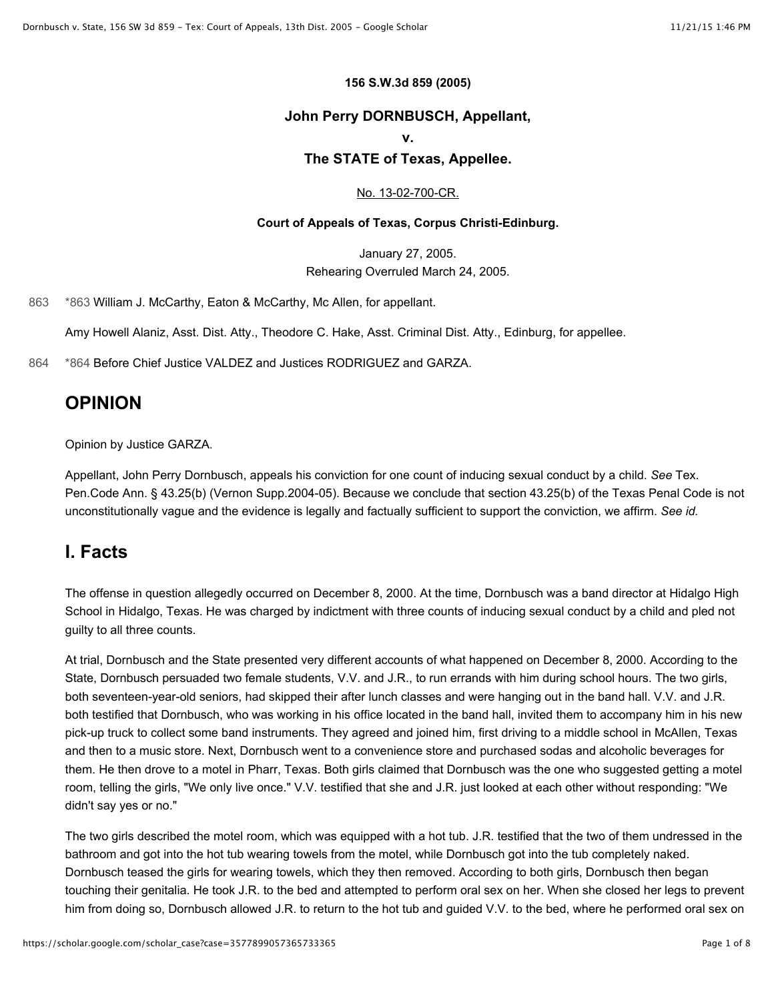#### **156 S.W.3d 859 (2005)**

#### **John Perry DORNBUSCH, Appellant,**

#### **v.**

#### **The STATE of Texas, Appellee.**

#### [No. 13-02-700-CR.](https://scholar.google.com/scholar?scidkt=15758935810736080985&as_sdt=2&hl=en)

#### **Court of Appeals of Texas, Corpus Christi-Edinburg.**

January 27, 2005. Rehearing Overruled March 24, 2005.

[863](https://scholar.google.com/scholar_case?case=3577899057365733365#p863) [\\*863](https://scholar.google.com/scholar_case?case=3577899057365733365#p863) William J. McCarthy, Eaton & McCarthy, Mc Allen, for appellant.

Amy Howell Alaniz, Asst. Dist. Atty., Theodore C. Hake, Asst. Criminal Dist. Atty., Edinburg, for appellee.

[864](https://scholar.google.com/scholar_case?case=3577899057365733365#p864) [\\*864](https://scholar.google.com/scholar_case?case=3577899057365733365#p864) Before Chief Justice VALDEZ and Justices RODRIGUEZ and GARZA.

#### **OPINION**

Opinion by Justice GARZA.

Appellant, John Perry Dornbusch, appeals his conviction for one count of inducing sexual conduct by a child. *See* Tex. Pen.Code Ann. § 43.25(b) (Vernon Supp.2004-05). Because we conclude that section 43.25(b) of the Texas Penal Code is not unconstitutionally vague and the evidence is legally and factually sufficient to support the conviction, we affirm. *See id.*

#### **I. Facts**

The offense in question allegedly occurred on December 8, 2000. At the time, Dornbusch was a band director at Hidalgo High School in Hidalgo, Texas. He was charged by indictment with three counts of inducing sexual conduct by a child and pled not guilty to all three counts.

At trial, Dornbusch and the State presented very different accounts of what happened on December 8, 2000. According to the State, Dornbusch persuaded two female students, V.V. and J.R., to run errands with him during school hours. The two girls, both seventeen-year-old seniors, had skipped their after lunch classes and were hanging out in the band hall. V.V. and J.R. both testified that Dornbusch, who was working in his office located in the band hall, invited them to accompany him in his new pick-up truck to collect some band instruments. They agreed and joined him, first driving to a middle school in McAllen, Texas and then to a music store. Next, Dornbusch went to a convenience store and purchased sodas and alcoholic beverages for them. He then drove to a motel in Pharr, Texas. Both girls claimed that Dornbusch was the one who suggested getting a motel room, telling the girls, "We only live once." V.V. testified that she and J.R. just looked at each other without responding: "We didn't say yes or no."

The two girls described the motel room, which was equipped with a hot tub. J.R. testified that the two of them undressed in the bathroom and got into the hot tub wearing towels from the motel, while Dornbusch got into the tub completely naked. Dornbusch teased the girls for wearing towels, which they then removed. According to both girls, Dornbusch then began touching their genitalia. He took J.R. to the bed and attempted to perform oral sex on her. When she closed her legs to prevent him from doing so, Dornbusch allowed J.R. to return to the hot tub and guided V.V. to the bed, where he performed oral sex on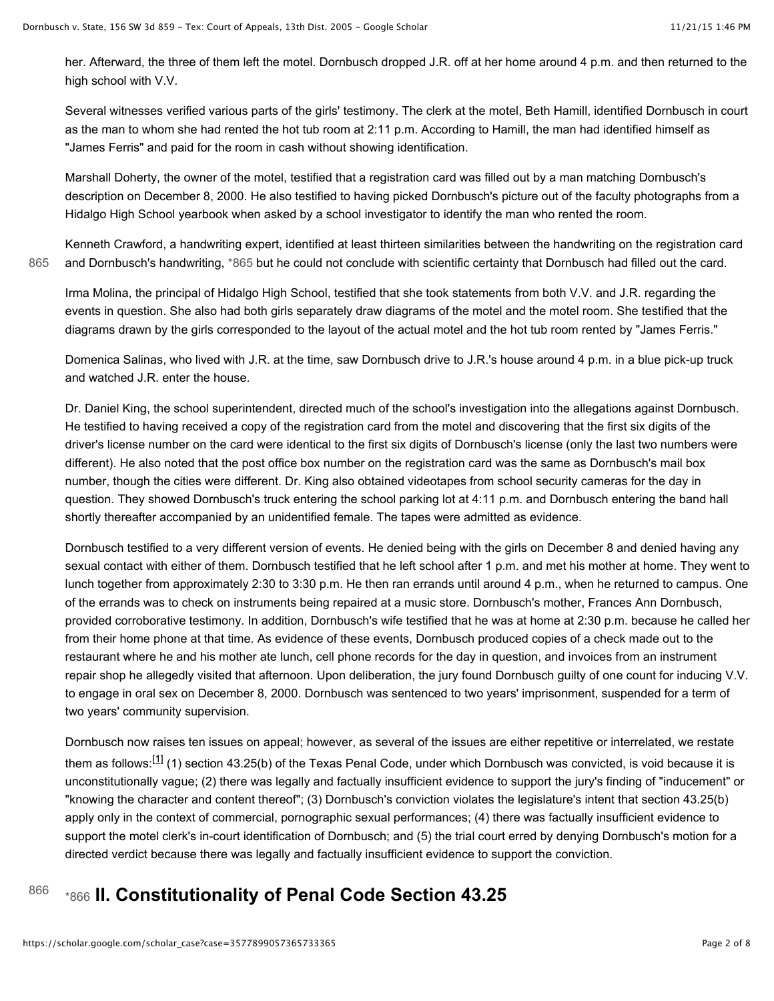her. Afterward, the three of them left the motel. Dornbusch dropped J.R. off at her home around 4 p.m. and then returned to the high school with V.V.

Several witnesses verified various parts of the girls' testimony. The clerk at the motel, Beth Hamill, identified Dornbusch in court as the man to whom she had rented the hot tub room at 2:11 p.m. According to Hamill, the man had identified himself as "James Ferris" and paid for the room in cash without showing identification.

Marshall Doherty, the owner of the motel, testified that a registration card was filled out by a man matching Dornbusch's description on December 8, 2000. He also testified to having picked Dornbusch's picture out of the faculty photographs from a Hidalgo High School yearbook when asked by a school investigator to identify the man who rented the room.

Kenneth Crawford, a handwriting expert, identified at least thirteen similarities between the handwriting on the registration card [865](https://scholar.google.com/scholar_case?case=3577899057365733365#p865) and Dornbusch's handwriting, [\\*865](https://scholar.google.com/scholar_case?case=3577899057365733365#p865) but he could not conclude with scientific certainty that Dornbusch had filled out the card.

Irma Molina, the principal of Hidalgo High School, testified that she took statements from both V.V. and J.R. regarding the events in question. She also had both girls separately draw diagrams of the motel and the motel room. She testified that the diagrams drawn by the girls corresponded to the layout of the actual motel and the hot tub room rented by "James Ferris."

Domenica Salinas, who lived with J.R. at the time, saw Dornbusch drive to J.R.'s house around 4 p.m. in a blue pick-up truck and watched J.R. enter the house.

Dr. Daniel King, the school superintendent, directed much of the school's investigation into the allegations against Dornbusch. He testified to having received a copy of the registration card from the motel and discovering that the first six digits of the driver's license number on the card were identical to the first six digits of Dornbusch's license (only the last two numbers were different). He also noted that the post office box number on the registration card was the same as Dornbusch's mail box number, though the cities were different. Dr. King also obtained videotapes from school security cameras for the day in question. They showed Dornbusch's truck entering the school parking lot at 4:11 p.m. and Dornbusch entering the band hall shortly thereafter accompanied by an unidentified female. The tapes were admitted as evidence.

Dornbusch testified to a very different version of events. He denied being with the girls on December 8 and denied having any sexual contact with either of them. Dornbusch testified that he left school after 1 p.m. and met his mother at home. They went to lunch together from approximately 2:30 to 3:30 p.m. He then ran errands until around 4 p.m., when he returned to campus. One of the errands was to check on instruments being repaired at a music store. Dornbusch's mother, Frances Ann Dornbusch, provided corroborative testimony. In addition, Dornbusch's wife testified that he was at home at 2:30 p.m. because he called her from their home phone at that time. As evidence of these events, Dornbusch produced copies of a check made out to the restaurant where he and his mother ate lunch, cell phone records for the day in question, and invoices from an instrument repair shop he allegedly visited that afternoon. Upon deliberation, the jury found Dornbusch guilty of one count for inducing V.V. to engage in oral sex on December 8, 2000. Dornbusch was sentenced to two years' imprisonment, suspended for a term of two years' community supervision.

Dornbusch now raises ten issues on appeal; however, as several of the issues are either repetitive or interrelated, we restate them as follows:<sup>[1]</sup> (1) section 43.25(b) of the Texas Penal Code, under which Dornbusch was convicted, is void because it is unconstitutionally vague; (2) there was legally and factually insufficient evidence to support the jury's finding of "inducement" or "knowing the character and content thereof"; (3) Dornbusch's conviction violates the legislature's intent that section 43.25(b) apply only in the context of commercial, pornographic sexual performances; (4) there was factually insufficient evidence to support the motel clerk's in-court identification of Dornbusch; and (5) the trial court erred by denying Dornbusch's motion for a directed verdict because there was legally and factually insufficient evidence to support the conviction.

### 866 [\\*866](https://scholar.google.com/scholar_case?case=3577899057365733365#p866) II. Constitutionality of Penal Code Section 43.25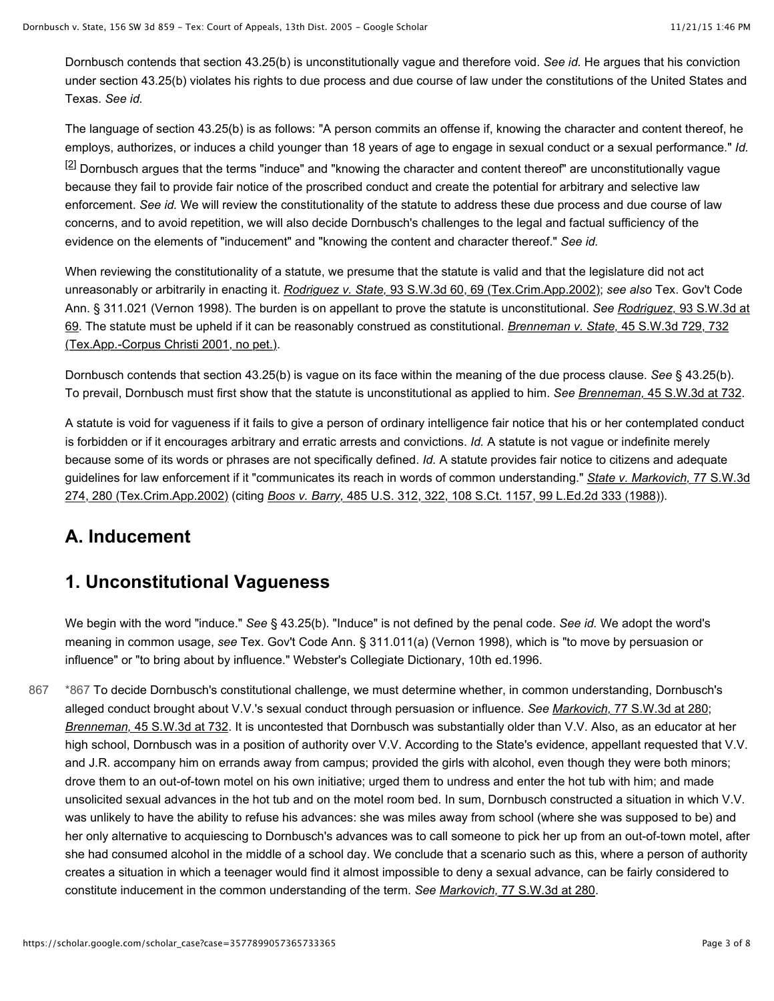Dornbusch contends that section 43.25(b) is unconstitutionally vague and therefore void. *See id.* He argues that his conviction under section 43.25(b) violates his rights to due process and due course of law under the constitutions of the United States and Texas. *See id.*

The language of section 43.25(b) is as follows: "A person commits an offense if, knowing the character and content thereof, he employs, authorizes, or induces a child younger than 18 years of age to engage in sexual conduct or a sexual performance." *Id.*  $[2]$  Dornbusch argues that the terms "induce" and "knowing the character and content thereof" are unconstitutionally vague because they fail to provide fair notice of the proscribed conduct and create the potential for arbitrary and selective law enforcement. *See id.* We will review the constitutionality of the statute to address these due process and due course of law concerns, and to avoid repetition, we will also decide Dornbusch's challenges to the legal and factual sufficiency of the evidence on the elements of "inducement" and "knowing the content and character thereof." *See id.*

When reviewing the constitutionality of a statute, we presume that the statute is valid and that the legislature did not act unreasonably or arbitrarily in enacting it. *Rodriguez v. State,* [93 S.W.3d 60, 69 \(Tex.Crim.App.2002\);](https://scholar.google.com/scholar_case?case=4293521260373489676&hl=en&as_sdt=6,44) *see also* Tex. Gov't Code [Ann. § 311.021 \(Vernon 1998\). The burden is on appellant to prove the statute is unconstitutional.](https://scholar.google.com/scholar_case?case=4293521260373489676&hl=en&as_sdt=6,44) *See Rodriguez,* 93 S.W.3d at [69. The statute must be upheld if it can be reasonably construed as constitutional.](https://scholar.google.com/scholar_case?case=15175717421411293273&hl=en&as_sdt=6,44) *Brenneman v. State,* 45 S.W.3d 729, 732 (Tex.App.-Corpus Christi 2001, no pet.).

Dornbusch contends that section 43.25(b) is vague on its face within the meaning of the due process clause. *See* § 43.25(b). To prevail, Dornbusch must first show that the statute is unconstitutional as applied to him. *See Brenneman,* [45 S.W.3d at 732.](https://scholar.google.com/scholar_case?case=15175717421411293273&hl=en&as_sdt=6,44)

A statute is void for vagueness if it fails to give a person of ordinary intelligence fair notice that his or her contemplated conduct is forbidden or if it encourages arbitrary and erratic arrests and convictions. *Id.* A statute is not vague or indefinite merely because some of its words or phrases are not specifically defined. *Id.* A statute provides fair notice to citizens and adequate [guidelines for law enforcement if it "communicates its reach in words of common understanding."](https://scholar.google.com/scholar_case?case=12353800456321460531&hl=en&as_sdt=6,44) *State v. Markovich,* 77 S.W.3d 274, 280 (Tex.Crim.App.2002) (citing *Boos v. Barry,* [485 U.S. 312, 322, 108 S.Ct. 1157, 99 L.Ed.2d 333 \(1988\)\)](https://scholar.google.com/scholar_case?case=11521369497390894679&hl=en&as_sdt=6,44).

# **A. Inducement**

### **1. Unconstitutional Vagueness**

We begin with the word "induce." *See* § 43.25(b). "Induce" is not defined by the penal code. *See id.* We adopt the word's meaning in common usage, *see* Tex. Gov't Code Ann. § 311.011(a) (Vernon 1998), which is "to move by persuasion or influence" or "to bring about by influence." Webster's Collegiate Dictionary, 10th ed.1996.

[\\*867](https://scholar.google.com/scholar_case?case=3577899057365733365#p867) To decide Dornbusch's constitutional challenge, we must determine whether, in common understanding, Dornbusch's alleged conduct brought about V.V.'s sexual conduct through persuasion or influence. *See Markovich,* [77 S.W.3d at 280;](https://scholar.google.com/scholar_case?case=12353800456321460531&hl=en&as_sdt=6,44) *Brenneman,* [45 S.W.3d at 732.](https://scholar.google.com/scholar_case?case=15175717421411293273&hl=en&as_sdt=6,44) It is uncontested that Dornbusch was substantially older than V.V. Also, as an educator at her high school, Dornbusch was in a position of authority over V.V. According to the State's evidence, appellant requested that V.V. and J.R. accompany him on errands away from campus; provided the girls with alcohol, even though they were both minors; drove them to an out-of-town motel on his own initiative; urged them to undress and enter the hot tub with him; and made unsolicited sexual advances in the hot tub and on the motel room bed. In sum, Dornbusch constructed a situation in which V.V. was unlikely to have the ability to refuse his advances: she was miles away from school (where she was supposed to be) and her only alternative to acquiescing to Dornbusch's advances was to call someone to pick her up from an out-of-town motel, after she had consumed alcohol in the middle of a school day. We conclude that a scenario such as this, where a person of authority creates a situation in which a teenager would find it almost impossible to deny a sexual advance, can be fairly considered to constitute inducement in the common understanding of the term. *See Markovich,* [77 S.W.3d at 280.](https://scholar.google.com/scholar_case?case=12353800456321460531&hl=en&as_sdt=6,44) [867](https://scholar.google.com/scholar_case?case=3577899057365733365#p867)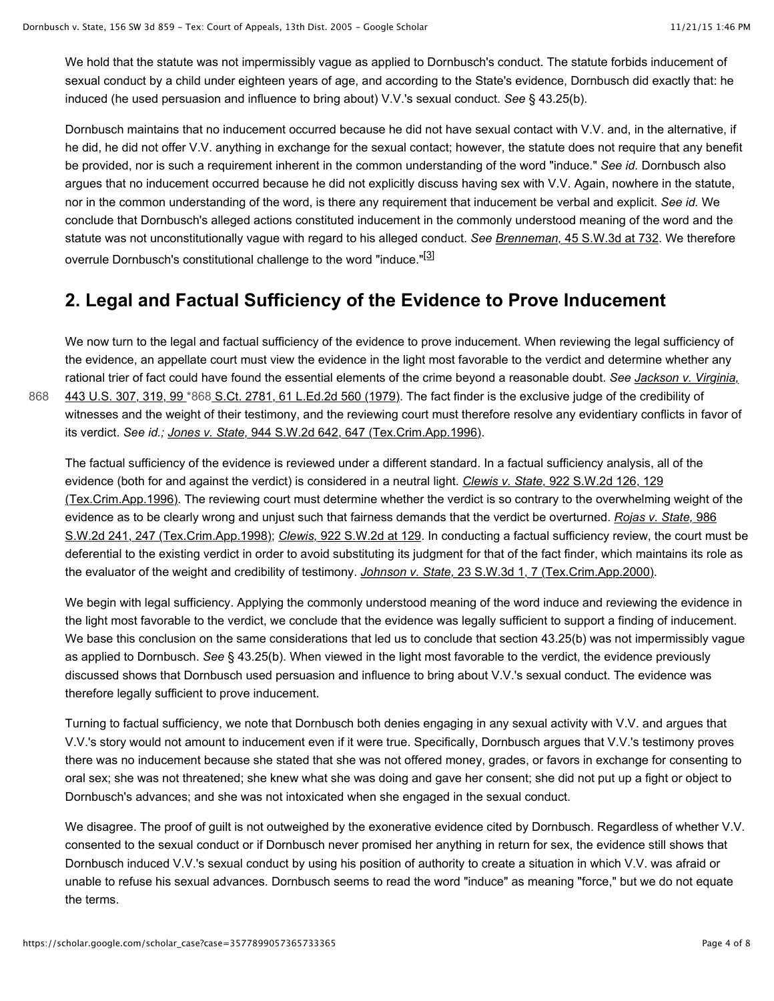We hold that the statute was not impermissibly vague as applied to Dornbusch's conduct. The statute forbids inducement of sexual conduct by a child under eighteen years of age, and according to the State's evidence, Dornbusch did exactly that: he induced (he used persuasion and influence to bring about) V.V.'s sexual conduct. *See* § 43.25(b).

Dornbusch maintains that no inducement occurred because he did not have sexual contact with V.V. and, in the alternative, if he did, he did not offer V.V. anything in exchange for the sexual contact; however, the statute does not require that any benefit be provided, nor is such a requirement inherent in the common understanding of the word "induce." *See id.* Dornbusch also argues that no inducement occurred because he did not explicitly discuss having sex with V.V. Again, nowhere in the statute, nor in the common understanding of the word, is there any requirement that inducement be verbal and explicit. *See id.* We conclude that Dornbusch's alleged actions constituted inducement in the commonly understood meaning of the word and the statute was not unconstitutionally vague with regard to his alleged conduct. *See Brenneman,* [45 S.W.3d at 732.](https://scholar.google.com/scholar_case?case=15175717421411293273&hl=en&as_sdt=6,44) We therefore overrule Dornbusch's constitutional challenge to the word "induce."<sup>[3]</sup>

### **2. Legal and Factual Sufficiency of the Evidence to Prove Inducement**

We now turn to the legal and factual sufficiency of the evidence to prove inducement. When reviewing the legal sufficiency of the evidence, an appellate court must view the evidence in the light most favorable to the verdict and determine whether any rational trier of fact could have found the essential elements of the crime beyond a reasonable doubt. *See Jackson v. Virginia,* [443 U.S. 307, 319, 99 \\*868 S.Ct. 2781, 61 L.Ed.2d 560 \(1979\). The fact finder is the exclusive judge of the credibility of](https://scholar.google.com/scholar_case?case=304542350697975194&hl=en&as_sdt=6,44) witnesses and the weight of their testimony, and the reviewing court must therefore resolve any evidentiary conflicts in favor of its verdict. *See id.; Jones v. State,* [944 S.W.2d 642, 647 \(Tex.Crim.App.1996\).](https://scholar.google.com/scholar_case?case=4660818809744667569&hl=en&as_sdt=6,44)

The factual sufficiency of the evidence is reviewed under a different standard. In a factual sufficiency analysis, all of the evidence (both for and against the verdict) is considered in a neutral light. *Clewis v. State,* 922 S.W.2d 126, 129 [\(Tex.Crim.App.1996\). The reviewing court must determine whether the verdict is so contrary to the overwhelmin](https://scholar.google.com/scholar_case?case=4902905385761367106&hl=en&as_sdt=6,44)g weight of the [evidence as to be clearly wrong and unjust such that fairness demands that the verdict be overturned.](https://scholar.google.com/scholar_case?case=6229464236220259481&hl=en&as_sdt=6,44) *Rojas v. State,* 986 S.W.2d 241, 247 (Tex.Crim.App.1998); *Clewis,* [922 S.W.2d at 129.](https://scholar.google.com/scholar_case?case=4902905385761367106&hl=en&as_sdt=6,44) In conducting a factual sufficiency review, the court must be deferential to the existing verdict in order to avoid substituting its judgment for that of the fact finder, which maintains its role as the evaluator of the weight and credibility of testimony. *Johnson v. State,* [23 S.W.3d 1, 7 \(Tex.Crim.App.2000\).](https://scholar.google.com/scholar_case?case=7361017329900017150&hl=en&as_sdt=6,44)

We begin with legal sufficiency. Applying the commonly understood meaning of the word induce and reviewing the evidence in the light most favorable to the verdict, we conclude that the evidence was legally sufficient to support a finding of inducement. We base this conclusion on the same considerations that led us to conclude that section 43.25(b) was not impermissibly vague as applied to Dornbusch. *See* § 43.25(b). When viewed in the light most favorable to the verdict, the evidence previously discussed shows that Dornbusch used persuasion and influence to bring about V.V.'s sexual conduct. The evidence was therefore legally sufficient to prove inducement.

Turning to factual sufficiency, we note that Dornbusch both denies engaging in any sexual activity with V.V. and argues that V.V.'s story would not amount to inducement even if it were true. Specifically, Dornbusch argues that V.V.'s testimony proves there was no inducement because she stated that she was not offered money, grades, or favors in exchange for consenting to oral sex; she was not threatened; she knew what she was doing and gave her consent; she did not put up a fight or object to Dornbusch's advances; and she was not intoxicated when she engaged in the sexual conduct.

We disagree. The proof of guilt is not outweighed by the exonerative evidence cited by Dornbusch. Regardless of whether V.V. consented to the sexual conduct or if Dornbusch never promised her anything in return for sex, the evidence still shows that Dornbusch induced V.V.'s sexual conduct by using his position of authority to create a situation in which V.V. was afraid or unable to refuse his sexual advances. Dornbusch seems to read the word "induce" as meaning "force," but we do not equate the terms.

[868](https://scholar.google.com/scholar_case?case=3577899057365733365#p868)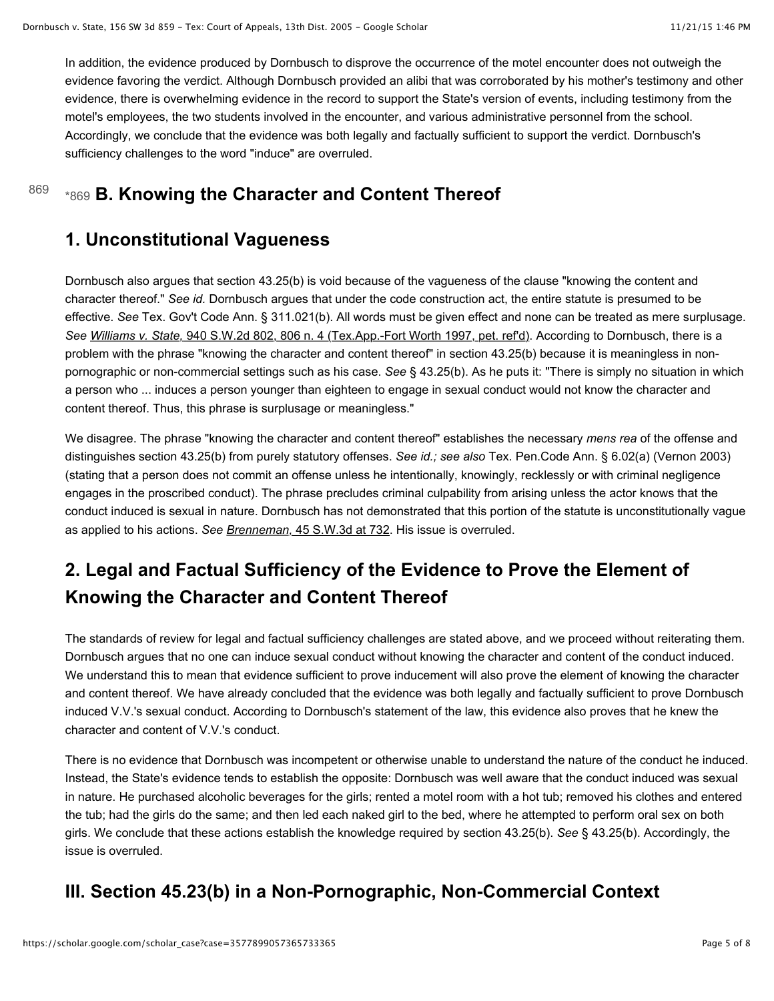In addition, the evidence produced by Dornbusch to disprove the occurrence of the motel encounter does not outweigh the evidence favoring the verdict. Although Dornbusch provided an alibi that was corroborated by his mother's testimony and other evidence, there is overwhelming evidence in the record to support the State's version of events, including testimony from the motel's employees, the two students involved in the encounter, and various administrative personnel from the school. Accordingly, we conclude that the evidence was both legally and factually sufficient to support the verdict. Dornbusch's sufficiency challenges to the word "induce" are overruled.

### 869 [\\*869](https://scholar.google.com/scholar_case?case=3577899057365733365#p869) **B. Knowing the Character and Content Thereof**

### **1. Unconstitutional Vagueness**

Dornbusch also argues that section 43.25(b) is void because of the vagueness of the clause "knowing the content and character thereof." *See id.* Dornbusch argues that under the code construction act, the entire statute is presumed to be effective. *See* Tex. Gov't Code Ann. § 311.021(b). All words must be given effect and none can be treated as mere surplusage. *See Williams v. State,* [940 S.W.2d 802, 806 n. 4 \(Tex.App.-Fort Worth 1997, pet. ref'd\).](https://scholar.google.com/scholar_case?case=3627215544886165701&hl=en&as_sdt=6,44) According to Dornbusch, there is a problem with the phrase "knowing the character and content thereof" in section 43.25(b) because it is meaningless in nonpornographic or non-commercial settings such as his case. *See* § 43.25(b). As he puts it: "There is simply no situation in which a person who ... induces a person younger than eighteen to engage in sexual conduct would not know the character and content thereof. Thus, this phrase is surplusage or meaningless."

We disagree. The phrase "knowing the character and content thereof" establishes the necessary *mens rea* of the offense and distinguishes section 43.25(b) from purely statutory offenses. *See id.; see also* Tex. Pen.Code Ann. § 6.02(a) (Vernon 2003) (stating that a person does not commit an offense unless he intentionally, knowingly, recklessly or with criminal negligence engages in the proscribed conduct). The phrase precludes criminal culpability from arising unless the actor knows that the conduct induced is sexual in nature. Dornbusch has not demonstrated that this portion of the statute is unconstitutionally vague as applied to his actions. *See Brenneman,* [45 S.W.3d at 732](https://scholar.google.com/scholar_case?case=15175717421411293273&hl=en&as_sdt=6,44). His issue is overruled.

# **2. Legal and Factual Sufficiency of the Evidence to Prove the Element of Knowing the Character and Content Thereof**

The standards of review for legal and factual sufficiency challenges are stated above, and we proceed without reiterating them. Dornbusch argues that no one can induce sexual conduct without knowing the character and content of the conduct induced. We understand this to mean that evidence sufficient to prove inducement will also prove the element of knowing the character and content thereof. We have already concluded that the evidence was both legally and factually sufficient to prove Dornbusch induced V.V.'s sexual conduct. According to Dornbusch's statement of the law, this evidence also proves that he knew the character and content of V.V.'s conduct.

There is no evidence that Dornbusch was incompetent or otherwise unable to understand the nature of the conduct he induced. Instead, the State's evidence tends to establish the opposite: Dornbusch was well aware that the conduct induced was sexual in nature. He purchased alcoholic beverages for the girls; rented a motel room with a hot tub; removed his clothes and entered the tub; had the girls do the same; and then led each naked girl to the bed, where he attempted to perform oral sex on both girls. We conclude that these actions establish the knowledge required by section 43.25(b). *See* § 43.25(b). Accordingly, the issue is overruled.

# **III. Section 45.23(b) in a Non-Pornographic, Non-Commercial Context**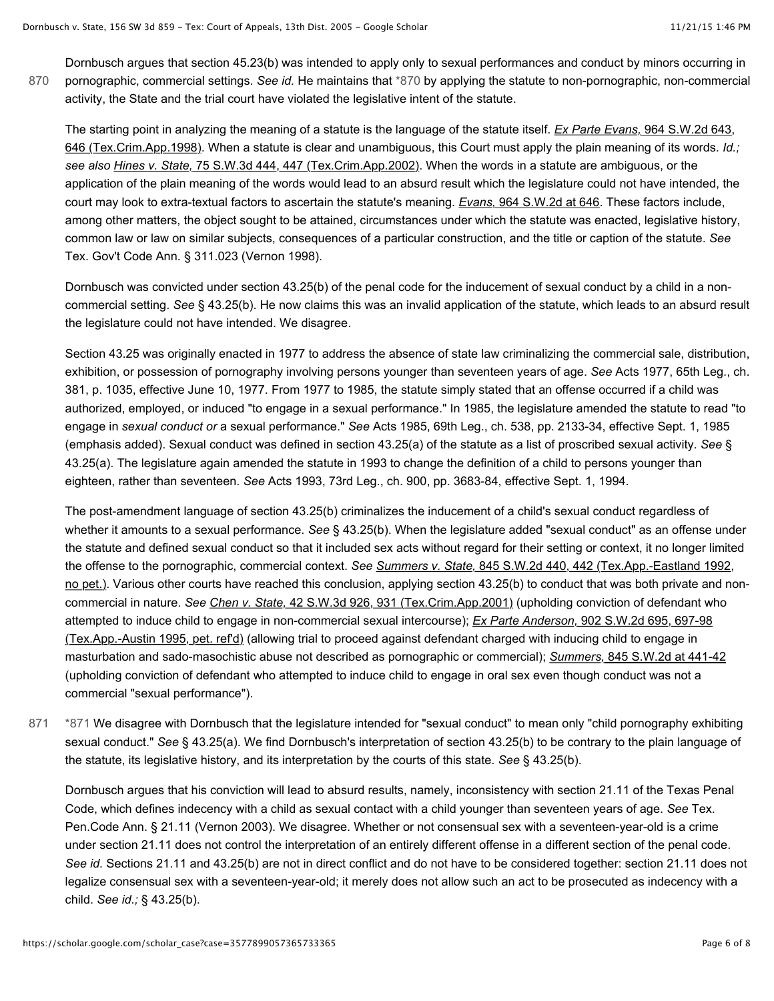Dornbusch argues that section 45.23(b) was intended to apply only to sexual performances and conduct by minors occurring in pornographic, commercial settings. *See id.* He maintains that [\\*870](https://scholar.google.com/scholar_case?case=3577899057365733365#p870) by applying the statute to non-pornographic, non-commercial activity, the State and the trial court have violated the legislative intent of the statute. [870](https://scholar.google.com/scholar_case?case=3577899057365733365#p870)

The starting point in analyzing the meaning of a statute is the language of the statute itself. *Ex Parte Evans,* 964 S.W.2d 643, [646 \(Tex.Crim.App.1998\). When a statute is clear and unambiguous, this Court must apply the plain meaning of its words.](https://scholar.google.com/scholar_case?case=15275940199234949922&hl=en&as_sdt=6,44) *Id.; see also Hines v. State,* [75 S.W.3d 444, 447 \(Tex.Crim.App.2002\).](https://scholar.google.com/scholar_case?case=6263223274905363502&hl=en&as_sdt=6,44) When the words in a statute are ambiguous, or the application of the plain meaning of the words would lead to an absurd result which the legislature could not have intended, the court may look to extra-textual factors to ascertain the statute's meaning. *Evans,* [964 S.W.2d at 646.](https://scholar.google.com/scholar_case?case=15275940199234949922&hl=en&as_sdt=6,44) These factors include, among other matters, the object sought to be attained, circumstances under which the statute was enacted, legislative history, common law or law on similar subjects, consequences of a particular construction, and the title or caption of the statute. *See* Tex. Gov't Code Ann. § 311.023 (Vernon 1998).

Dornbusch was convicted under section 43.25(b) of the penal code for the inducement of sexual conduct by a child in a noncommercial setting. *See* § 43.25(b). He now claims this was an invalid application of the statute, which leads to an absurd result the legislature could not have intended. We disagree.

Section 43.25 was originally enacted in 1977 to address the absence of state law criminalizing the commercial sale, distribution, exhibition, or possession of pornography involving persons younger than seventeen years of age. *See* Acts 1977, 65th Leg., ch. 381, p. 1035, effective June 10, 1977. From 1977 to 1985, the statute simply stated that an offense occurred if a child was authorized, employed, or induced "to engage in a sexual performance." In 1985, the legislature amended the statute to read "to engage in *sexual conduct or* a sexual performance." *See* Acts 1985, 69th Leg., ch. 538, pp. 2133-34, effective Sept. 1, 1985 (emphasis added). Sexual conduct was defined in section 43.25(a) of the statute as a list of proscribed sexual activity. *See* § 43.25(a). The legislature again amended the statute in 1993 to change the definition of a child to persons younger than eighteen, rather than seventeen. *See* Acts 1993, 73rd Leg., ch. 900, pp. 3683-84, effective Sept. 1, 1994.

The post-amendment language of section 43.25(b) criminalizes the inducement of a child's sexual conduct regardless of whether it amounts to a sexual performance. *See* § 43.25(b). When the legislature added "sexual conduct" as an offense under the statute and defined sexual conduct so that it included sex acts without regard for their setting or context, it no longer limited the offense to the pornographic, commercial context. *See Summers v. State,* 845 S.W.2d 440, 442 (Tex.App.-Eastland 1992, [no pet.\). Various other courts have reached this conclusion, applying section 43.25\(b\) to conduct that was both private and no](https://scholar.google.com/scholar_case?case=15093882947170335552&hl=en&as_sdt=6,44)ncommercial in nature. *See Chen v. State,* [42 S.W.3d 926, 931 \(Tex.Crim.App.2001\)](https://scholar.google.com/scholar_case?case=11455251256769922975&hl=en&as_sdt=6,44) (upholding conviction of defendant who attempted to induce child to engage in non-commercial sexual intercourse); *Ex Parte Anderson,* 902 S.W.2d 695, 697-98 [\(Tex.App.-Austin 1995, pet. ref'd\) \(allowing trial to proceed against defendant charged with inducing child to engage in](https://scholar.google.com/scholar_case?case=13615476842622842380&hl=en&as_sdt=6,44) masturbation and sado-masochistic abuse not described as pornographic or commercial); *Summers,* [845 S.W.2d at 441-42](https://scholar.google.com/scholar_case?case=15093882947170335552&hl=en&as_sdt=6,44) (upholding conviction of defendant who attempted to induce child to engage in oral sex even though conduct was not a commercial "sexual performance").

[\\*871](https://scholar.google.com/scholar_case?case=3577899057365733365#p871) We disagree with Dornbusch that the legislature intended for "sexual conduct" to mean only "child pornography exhibiting sexual conduct." *See* § 43.25(a). We find Dornbusch's interpretation of section 43.25(b) to be contrary to the plain language of the statute, its legislative history, and its interpretation by the courts of this state. *See* § 43.25(b). [871](https://scholar.google.com/scholar_case?case=3577899057365733365#p871)

Dornbusch argues that his conviction will lead to absurd results, namely, inconsistency with section 21.11 of the Texas Penal Code, which defines indecency with a child as sexual contact with a child younger than seventeen years of age. *See* Tex. Pen.Code Ann. § 21.11 (Vernon 2003). We disagree. Whether or not consensual sex with a seventeen-year-old is a crime under section 21.11 does not control the interpretation of an entirely different offense in a different section of the penal code. *See id.* Sections 21.11 and 43.25(b) are not in direct conflict and do not have to be considered together: section 21.11 does not legalize consensual sex with a seventeen-year-old; it merely does not allow such an act to be prosecuted as indecency with a child. *See id.;* § 43.25(b).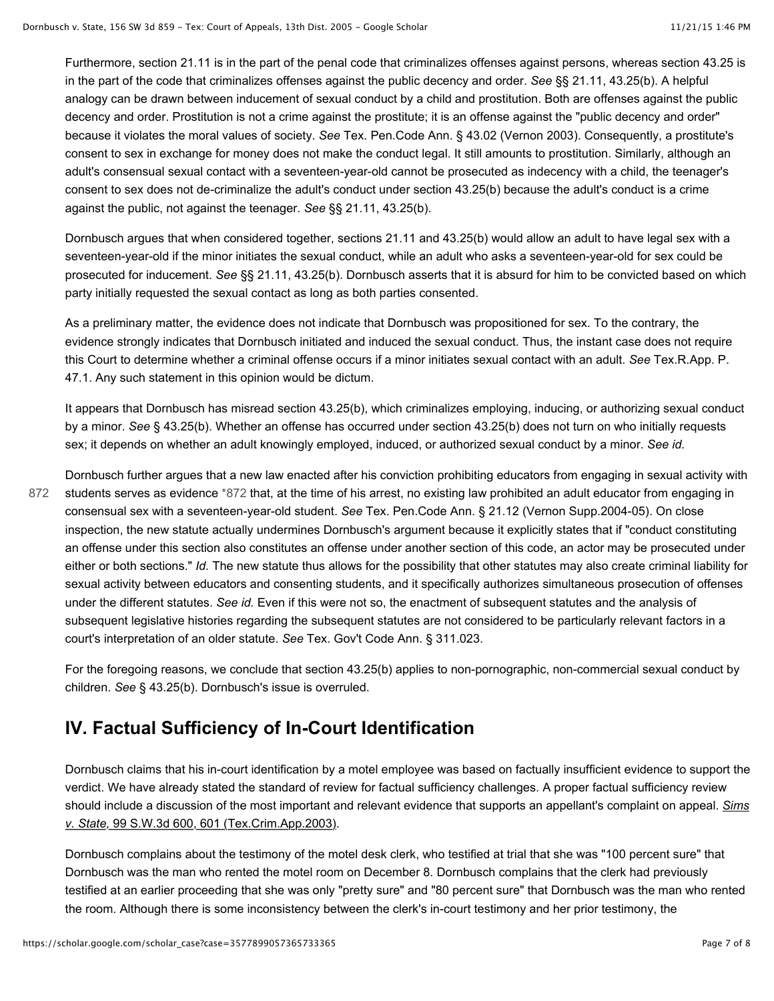Furthermore, section 21.11 is in the part of the penal code that criminalizes offenses against persons, whereas section 43.25 is in the part of the code that criminalizes offenses against the public decency and order. *See* §§ 21.11, 43.25(b). A helpful analogy can be drawn between inducement of sexual conduct by a child and prostitution. Both are offenses against the public decency and order. Prostitution is not a crime against the prostitute; it is an offense against the "public decency and order" because it violates the moral values of society. *See* Tex. Pen.Code Ann. § 43.02 (Vernon 2003). Consequently, a prostitute's consent to sex in exchange for money does not make the conduct legal. It still amounts to prostitution. Similarly, although an adult's consensual sexual contact with a seventeen-year-old cannot be prosecuted as indecency with a child, the teenager's consent to sex does not de-criminalize the adult's conduct under section 43.25(b) because the adult's conduct is a crime against the public, not against the teenager. *See* §§ 21.11, 43.25(b).

Dornbusch argues that when considered together, sections 21.11 and 43.25(b) would allow an adult to have legal sex with a seventeen-year-old if the minor initiates the sexual conduct, while an adult who asks a seventeen-year-old for sex could be prosecuted for inducement. *See* §§ 21.11, 43.25(b). Dornbusch asserts that it is absurd for him to be convicted based on which party initially requested the sexual contact as long as both parties consented.

As a preliminary matter, the evidence does not indicate that Dornbusch was propositioned for sex. To the contrary, the evidence strongly indicates that Dornbusch initiated and induced the sexual conduct. Thus, the instant case does not require this Court to determine whether a criminal offense occurs if a minor initiates sexual contact with an adult. *See* Tex.R.App. P. 47.1. Any such statement in this opinion would be dictum.

It appears that Dornbusch has misread section 43.25(b), which criminalizes employing, inducing, or authorizing sexual conduct by a minor. *See* § 43.25(b). Whether an offense has occurred under section 43.25(b) does not turn on who initially requests sex; it depends on whether an adult knowingly employed, induced, or authorized sexual conduct by a minor. *See id.*

Dornbusch further argues that a new law enacted after his conviction prohibiting educators from engaging in sexual activity with students serves as evidence [\\*872](https://scholar.google.com/scholar_case?case=3577899057365733365#p872) that, at the time of his arrest, no existing law prohibited an adult educator from engaging in consensual sex with a seventeen-year-old student. *See* Tex. Pen.Code Ann. § 21.12 (Vernon Supp.2004-05). On close inspection, the new statute actually undermines Dornbusch's argument because it explicitly states that if "conduct constituting an offense under this section also constitutes an offense under another section of this code, an actor may be prosecuted under either or both sections." *Id.* The new statute thus allows for the possibility that other statutes may also create criminal liability for sexual activity between educators and consenting students, and it specifically authorizes simultaneous prosecution of offenses under the different statutes. *See id.* Even if this were not so, the enactment of subsequent statutes and the analysis of subsequent legislative histories regarding the subsequent statutes are not considered to be particularly relevant factors in a court's interpretation of an older statute. *See* Tex. Gov't Code Ann. § 311.023. [872](https://scholar.google.com/scholar_case?case=3577899057365733365#p872)

For the foregoing reasons, we conclude that section 43.25(b) applies to non-pornographic, non-commercial sexual conduct by children. *See* § 43.25(b). Dornbusch's issue is overruled.

### **IV. Factual Sufficiency of In-Court Identification**

Dornbusch claims that his in-court identification by a motel employee was based on factually insufficient evidence to support the verdict. We have already stated the standard of review for factual sufficiency challenges. A proper factual sufficiency review [should include a discussion of the most important and relevant evidence that supports an appellant's complaint on appeal.](https://scholar.google.com/scholar_case?case=6721274445647831690&hl=en&as_sdt=6,44) *Sims v. State,* 99 S.W.3d 600, 601 (Tex.Crim.App.2003).

Dornbusch complains about the testimony of the motel desk clerk, who testified at trial that she was "100 percent sure" that Dornbusch was the man who rented the motel room on December 8. Dornbusch complains that the clerk had previously testified at an earlier proceeding that she was only "pretty sure" and "80 percent sure" that Dornbusch was the man who rented the room. Although there is some inconsistency between the clerk's in-court testimony and her prior testimony, the